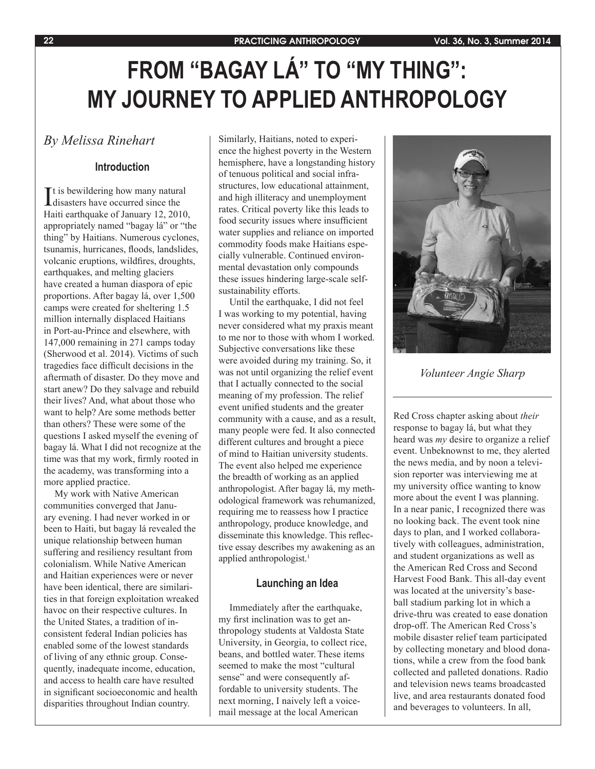# **FROM "BAGAY LÁ" TO "MY THING": MY JOURNEY TO APPLIED ANTHROPOLOGY**

## *By Melissa Rinehart*

### **Introduction**

It is bewildering how many natural<br>disasters have occurred since the disasters have occurred since the Haiti earthquake of January 12, 2010, appropriately named "bagay lá" or "the thing" by Haitians. Numerous cyclones, tsunamis, hurricanes, floods, landslides, volcanic eruptions, wildfires, droughts, earthquakes, and melting glaciers have created a human diaspora of epic proportions. After bagay lá, over 1,500 camps were created for sheltering 1.5 million internally displaced Haitians in Port-au-Prince and elsewhere, with 147,000 remaining in 271 camps today (Sherwood et al. 2014). Victims of such tragedies face difficult decisions in the aftermath of disaster. Do they move and start anew? Do they salvage and rebuild their lives? And, what about those who want to help? Are some methods better than others? These were some of the questions I asked myself the evening of bagay lá. What I did not recognize at the time was that my work, firmly rooted in the academy, was transforming into a more applied practice.

 My work with Native American communities converged that January evening. I had never worked in or been to Haiti, but bagay lá revealed the unique relationship between human suffering and resiliency resultant from colonialism. While Native American and Haitian experiences were or never have been identical, there are similarities in that foreign exploitation wreaked havoc on their respective cultures. In the United States, a tradition of inconsistent federal Indian policies has enabled some of the lowest standards of living of any ethnic group. Consequently, inadequate income, education, and access to health care have resulted in significant socioeconomic and health disparities throughout Indian country.

Similarly, Haitians, noted to experience the highest poverty in the Western hemisphere, have a longstanding history of tenuous political and social infrastructures, low educational attainment, and high illiteracy and unemployment rates. Critical poverty like this leads to food security issues where insufficient water supplies and reliance on imported commodity foods make Haitians especially vulnerable. Continued environmental devastation only compounds these issues hindering large-scale selfsustainability efforts.

 Until the earthquake, I did not feel I was working to my potential, having never considered what my praxis meant to me nor to those with whom I worked. Subjective conversations like these were avoided during my training. So, it was not until organizing the relief event that I actually connected to the social meaning of my profession. The relief event unified students and the greater community with a cause, and as a result, many people were fed. It also connected different cultures and brought a piece of mind to Haitian university students. The event also helped me experience the breadth of working as an applied anthropologist. After bagay lá, my methodological framework was rehumanized, requiring me to reassess how I practice anthropology, produce knowledge, and disseminate this knowledge. This reflective essay describes my awakening as an applied anthropologist. $<sup>1</sup>$ </sup>

#### **Launching an Idea**

 Immediately after the earthquake, my first inclination was to get anthropology students at Valdosta State University, in Georgia, to collect rice, beans, and bottled water.These items seemed to make the most "cultural sense" and were consequently affordable to university students. The next morning, I naively left a voicemail message at the local American



*Volunteer Angie Sharp*

Red Cross chapter asking about *their* response to bagay lá, but what they heard was *my* desire to organize a relief event. Unbeknownst to me, they alerted the news media, and by noon a television reporter was interviewing me at my university office wanting to know more about the event I was planning. In a near panic, I recognized there was no looking back. The event took nine days to plan, and I worked collaboratively with colleagues, administration, and student organizations as well as the American Red Cross and Second Harvest Food Bank. This all-day event was located at the university's baseball stadium parking lot in which a drive-thru was created to ease donation drop-off. The American Red Cross's mobile disaster relief team participated by collecting monetary and blood donations, while a crew from the food bank collected and palleted donations. Radio and television news teams broadcasted live, and area restaurants donated food and beverages to volunteers. In all,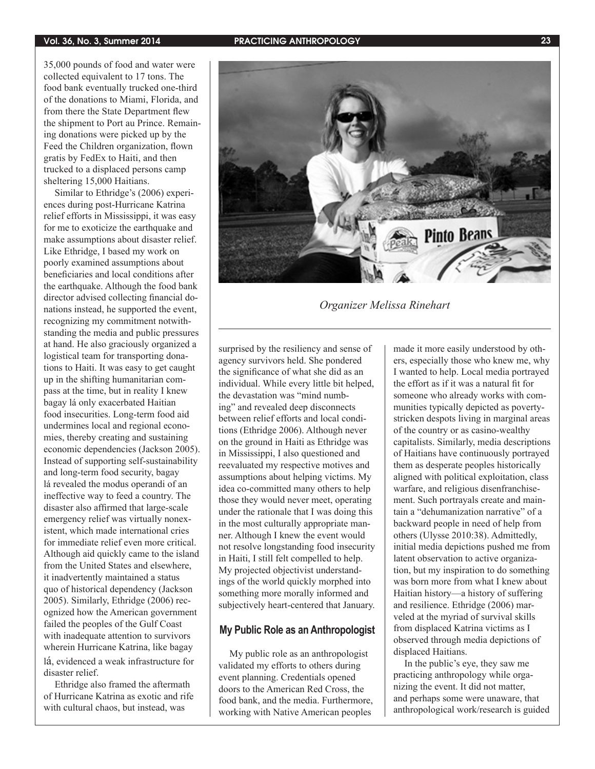35,000 pounds of food and water were collected equivalent to 17 tons. The food bank eventually trucked one-third of the donations to Miami, Florida, and from there the State Department flew the shipment to Port au Prince. Remaining donations were picked up by the Feed the Children organization, flown gratis by FedEx to Haiti, and then trucked to a displaced persons camp sheltering 15,000 Haitians.

 Similar to Ethridge's (2006) experiences during post-Hurricane Katrina relief efforts in Mississippi, it was easy for me to exoticize the earthquake and make assumptions about disaster relief. Like Ethridge, I based my work on poorly examined assumptions about beneficiaries and local conditions after the earthquake. Although the food bank director advised collecting financial donations instead, he supported the event, recognizing my commitment notwithstanding the media and public pressures at hand. He also graciously organized a logistical team for transporting donations to Haiti. It was easy to get caught up in the shifting humanitarian compass at the time, but in reality I knew bagay lá only exacerbated Haitian food insecurities. Long-term food aid undermines local and regional economies, thereby creating and sustaining economic dependencies (Jackson 2005). Instead of supporting self-sustainability and long-term food security, bagay lá revealed the modus operandi of an ineffective way to feed a country. The disaster also affirmed that large-scale emergency relief was virtually nonexistent, which made international cries for immediate relief even more critical. Although aid quickly came to the island from the United States and elsewhere, it inadvertently maintained a status quo of historical dependency (Jackson 2005). Similarly, Ethridge (2006) recognized how the American government failed the peoples of the Gulf Coast with inadequate attention to survivors wherein Hurricane Katrina, like bagay lá, evidenced a weak infrastructure for disaster relief.

 Ethridge also framed the aftermath of Hurricane Katrina as exotic and rife with cultural chaos, but instead, was



*Organizer Melissa Rinehart*

surprised by the resiliency and sense of agency survivors held. She pondered the significance of what she did as an individual. While every little bit helped, the devastation was "mind numbing" and revealed deep disconnects between relief efforts and local conditions (Ethridge 2006). Although never on the ground in Haiti as Ethridge was in Mississippi, I also questioned and reevaluated my respective motives and assumptions about helping victims. My idea co-committed many others to help those they would never meet, operating under the rationale that I was doing this in the most culturally appropriate manner. Although I knew the event would not resolve longstanding food insecurity in Haiti, I still felt compelled to help. My projected objectivist understandings of the world quickly morphed into something more morally informed and subjectively heart-centered that January.

#### **My Public Role as an Anthropologist**

 My public role as an anthropologist validated my efforts to others during event planning. Credentials opened doors to the American Red Cross, the food bank, and the media. Furthermore, working with Native American peoples

made it more easily understood by others, especially those who knew me, why I wanted to help. Local media portrayed the effort as if it was a natural fit for someone who already works with communities typically depicted as povertystricken despots living in marginal areas of the country or as casino-wealthy capitalists. Similarly, media descriptions of Haitians have continuously portrayed them as desperate peoples historically aligned with political exploitation, class warfare, and religious disenfranchisement. Such portrayals create and maintain a "dehumanization narrative" of a backward people in need of help from others (Ulysse 2010:38). Admittedly, initial media depictions pushed me from latent observation to active organization, but my inspiration to do something was born more from what I knew about Haitian history—a history of suffering and resilience. Ethridge (2006) marveled at the myriad of survival skills from displaced Katrina victims as I observed through media depictions of displaced Haitians.

 In the public's eye, they saw me practicing anthropology while organizing the event. It did not matter, and perhaps some were unaware, that anthropological work/research is guided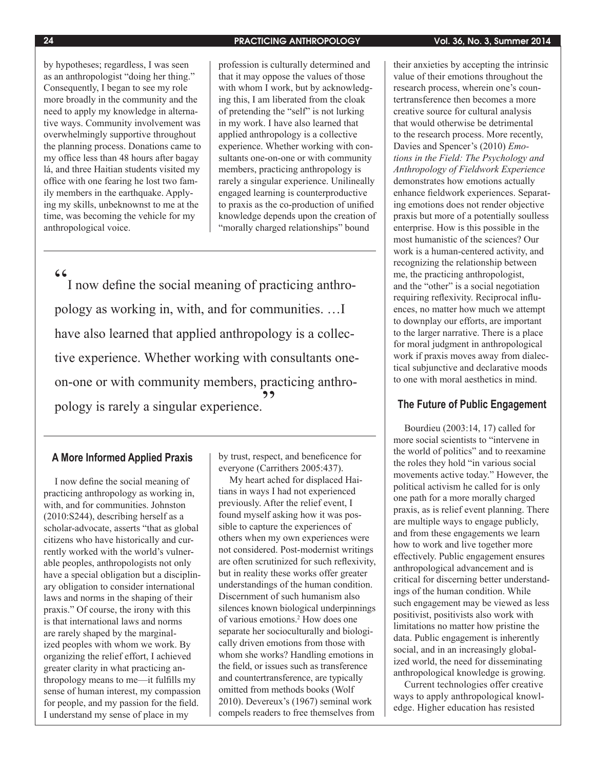by hypotheses; regardless, I was seen as an anthropologist "doing her thing." Consequently, I began to see my role more broadly in the community and the need to apply my knowledge in alternative ways. Community involvement was overwhelmingly supportive throughout the planning process. Donations came to my office less than 48 hours after bagay lá, and three Haitian students visited my office with one fearing he lost two family members in the earthquake. Applying my skills, unbeknownst to me at the time, was becoming the vehicle for my anthropological voice.

profession is culturally determined and that it may oppose the values of those with whom I work, but by acknowledging this, I am liberated from the cloak of pretending the "self" is not lurking in my work. I have also learned that applied anthropology is a collective experience. Whether working with consultants one-on-one or with community members, practicing anthropology is rarely a singular experience. Unilineally engaged learning is counterproductive to praxis as the co-production of unified knowledge depends upon the creation of "morally charged relationships" bound

 $C$ I now define the social meaning of practicing anthropology as working in, with, and for communities. …I have also learned that applied anthropology is a collective experience. Whether working with consultants oneon-one or with community members, practicing anthropology is rarely a singular experience.  $\frac{1}{2}$ 

#### **A More Informed Applied Praxis**

I now define the social meaning of practicing anthropology as working in, with, and for communities. Johnston (2010:S244), describing herself as a scholar-advocate, asserts "that as global citizens who have historically and currently worked with the world's vulnerable peoples, anthropologists not only have a special obligation but a disciplinary obligation to consider international laws and norms in the shaping of their praxis." Of course, the irony with this is that international laws and norms are rarely shaped by the marginalized peoples with whom we work. By organizing the relief effort, I achieved greater clarity in what practicing anthropology means to me—it fulfills my sense of human interest, my compassion for people, and my passion for the field. I understand my sense of place in my

by trust, respect, and beneficence for everyone (Carrithers 2005:437).

 My heart ached for displaced Haitians in ways I had not experienced previously. After the relief event, I found myself asking how it was possible to capture the experiences of others when my own experiences were not considered. Post-modernist writings are often scrutinized for such reflexivity, but in reality these works offer greater understandings of the human condition. Discernment of such humanism also silences known biological underpinnings of various emotions.<sup>2</sup> How does one separate her socioculturally and biologically driven emotions from those with whom she works? Handling emotions in the field, or issues such as transference and countertransference, are typically omitted from methods books (Wolf 2010). Devereux's (1967) seminal work compels readers to free themselves from

their anxieties by accepting the intrinsic value of their emotions throughout the research process, wherein one's countertransference then becomes a more creative source for cultural analysis that would otherwise be detrimental to the research process. More recently, Davies and Spencer's (2010) *Emotions in the Field: The Psychology and Anthropology of Fieldwork Experience*  demonstrates how emotions actually enhance fieldwork experiences. Separating emotions does not render objective praxis but more of a potentially soulless enterprise. How is this possible in the most humanistic of the sciences? Our work is a human-centered activity, and recognizing the relationship between me, the practicing anthropologist, and the "other" is a social negotiation requiring reflexivity. Reciprocal influences, no matter how much we attempt to downplay our efforts, are important to the larger narrative. There is a place for moral judgment in anthropological work if praxis moves away from dialectical subjunctive and declarative moods to one with moral aesthetics in mind.

#### **The Future of Public Engagement**

 Bourdieu (2003:14, 17) called for more social scientists to "intervene in the world of politics" and to reexamine the roles they hold "in various social movements active today." However, the political activism he called for is only one path for a more morally charged praxis, as is relief event planning. There are multiple ways to engage publicly, and from these engagements we learn how to work and live together more effectively. Public engagement ensures anthropological advancement and is critical for discerning better understandings of the human condition. While such engagement may be viewed as less positivist, positivists also work with limitations no matter how pristine the data. Public engagement is inherently social, and in an increasingly globalized world, the need for disseminating anthropological knowledge is growing.

 Current technologies offer creative ways to apply anthropological knowledge. Higher education has resisted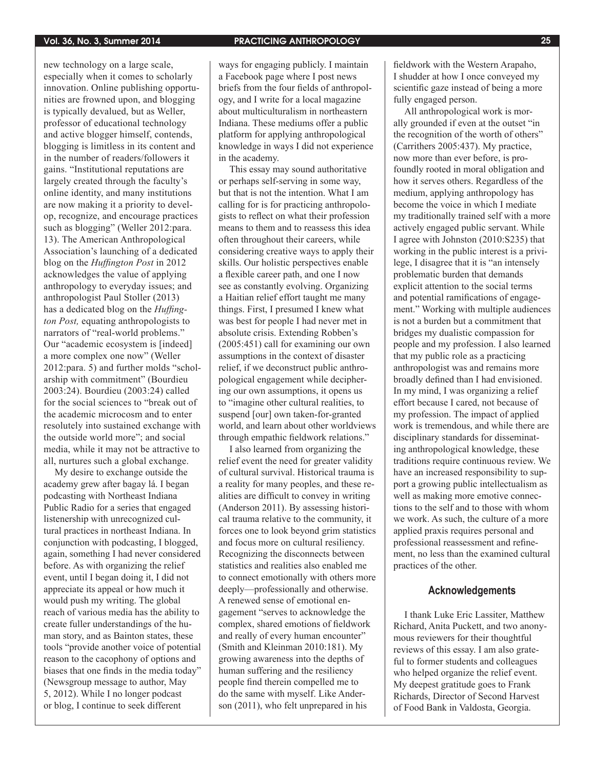new technology on a large scale, especially when it comes to scholarly innovation. Online publishing opportunities are frowned upon, and blogging is typically devalued, but as Weller, professor of educational technology and active blogger himself, contends, blogging is limitless in its content and in the number of readers/followers it gains. "Institutional reputations are largely created through the faculty's online identity, and many institutions are now making it a priority to develop, recognize, and encourage practices such as blogging" (Weller 2012:para. 13). The American Anthropological Association's launching of a dedicated blog on the *Huffington Post* in 2012 acknowledges the value of applying anthropology to everyday issues; and anthropologist Paul Stoller (2013) has a dedicated blog on the *Huffington Post,* equating anthropologists to narrators of "real-world problems." Our "academic ecosystem is [indeed] a more complex one now" (Weller 2012:para. 5) and further molds "scholarship with commitment" (Bourdieu 2003:24). Bourdieu (2003:24) called for the social sciences to "break out of the academic microcosm and to enter resolutely into sustained exchange with the outside world more"; and social media, while it may not be attractive to all, nurtures such a global exchange.

 My desire to exchange outside the academy grew after bagay lá. I began podcasting with Northeast Indiana Public Radio for a series that engaged listenership with unrecognized cultural practices in northeast Indiana. In conjunction with podcasting, I blogged, again, something I had never considered before. As with organizing the relief event, until I began doing it, I did not appreciate its appeal or how much it would push my writing. The global reach of various media has the ability to create fuller understandings of the human story, and as Bainton states, these tools "provide another voice of potential reason to the cacophony of options and biases that one finds in the media today" (Newsgroup message to author, May 5, 2012). While I no longer podcast or blog, I continue to seek different

ways for engaging publicly. I maintain a Facebook page where I post news briefs from the four fields of anthropology, and I write for a local magazine about multiculturalism in northeastern Indiana. These mediums offer a public platform for applying anthropological knowledge in ways I did not experience in the academy.

 This essay may sound authoritative or perhaps self-serving in some way, but that is not the intention. What I am calling for is for practicing anthropologists to reflect on what their profession means to them and to reassess this idea often throughout their careers, while considering creative ways to apply their skills. Our holistic perspectives enable a flexible career path, and one I now see as constantly evolving. Organizing a Haitian relief effort taught me many things. First, I presumed I knew what was best for people I had never met in absolute crisis. Extending Robben's (2005:451) call for examining our own assumptions in the context of disaster relief, if we deconstruct public anthropological engagement while deciphering our own assumptions, it opens us to "imagine other cultural realities, to suspend [our] own taken-for-granted world, and learn about other worldviews through empathic fieldwork relations."

 I also learned from organizing the relief event the need for greater validity of cultural survival. Historical trauma is a reality for many peoples, and these realities are difficult to convey in writing (Anderson 2011). By assessing historical trauma relative to the community, it forces one to look beyond grim statistics and focus more on cultural resiliency. Recognizing the disconnects between statistics and realities also enabled me to connect emotionally with others more deeply—professionally and otherwise. A renewed sense of emotional engagement "serves to acknowledge the complex, shared emotions of fieldwork and really of every human encounter" (Smith and Kleinman 2010:181). My growing awareness into the depths of human suffering and the resiliency people find therein compelled me to do the same with myself. Like Anderson (2011), who felt unprepared in his

fieldwork with the Western Arapaho, I shudder at how I once conveyed my scientific gaze instead of being a more fully engaged person.

 All anthropological work is morally grounded if even at the outset "in the recognition of the worth of others" (Carrithers 2005:437). My practice, now more than ever before, is profoundly rooted in moral obligation and how it serves others. Regardless of the medium, applying anthropology has become the voice in which I mediate my traditionally trained self with a more actively engaged public servant. While I agree with Johnston (2010:S235) that working in the public interest is a privilege, I disagree that it is "an intensely problematic burden that demands explicit attention to the social terms and potential ramifications of engagement." Working with multiple audiences is not a burden but a commitment that bridges my dualistic compassion for people and my profession. I also learned that my public role as a practicing anthropologist was and remains more broadly defined than I had envisioned. In my mind, I was organizing a relief effort because I cared, not because of my profession. The impact of applied work is tremendous, and while there are disciplinary standards for disseminating anthropological knowledge, these traditions require continuous review. We have an increased responsibility to support a growing public intellectualism as well as making more emotive connections to the self and to those with whom we work. As such, the culture of a more applied praxis requires personal and professional reassessment and refinement, no less than the examined cultural practices of the other.

#### **Acknowledgements**

 I thank Luke Eric Lassiter, Matthew Richard, Anita Puckett, and two anonymous reviewers for their thoughtful reviews of this essay. I am also grateful to former students and colleagues who helped organize the relief event. My deepest gratitude goes to Frank Richards, Director of Second Harvest of Food Bank in Valdosta, Georgia.